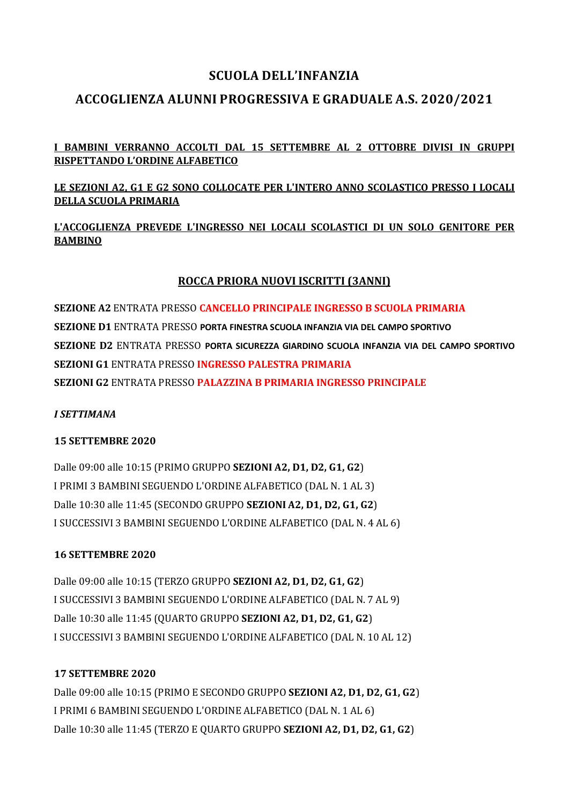# **SCUOLA DELL'INFANZIA**

# **ACCOGLIENZA ALUNNI PROGRESSIVA E GRADUALE A.S. 2020/2021**

### **I BAMBINI VERRANNO ACCOLTI DAL 15 SETTEMBRE AL 2 OTTOBRE DIVISI IN GRUPPI RISPETTANDO L'ORDINE ALFABETICO**

#### **LE SEZIONI A2, G1 E G2 SONO COLLOCATE PER L'INTERO ANNO SCOLASTICO PRESSO I LOCALI DELLA SCUOLA PRIMARIA**

### **L'ACCOGLIENZA PREVEDE L'INGRESSO NEI LOCALI SCOLASTICI DI UN SOLO GENITORE PER BAMBINO**

### **ROCCA PRIORA NUOVI ISCRITTI (3ANNI)**

**SEZIONE A2** ENTRATA PRESSO **CANCELLO PRINCIPALE INGRESSO B SCUOLA PRIMARIA SEZIONE D1** ENTRATA PRESSO **PORTA FINESTRA SCUOLA INFANZIA VIA DEL CAMPO SPORTIVO SEZIONE D2** ENTRATA PRESSO **PORTA SICUREZZA GIARDINO SCUOLA INFANZIA VIA DEL CAMPO SPORTIVO SEZIONI G1** ENTRATA PRESSO **INGRESSO PALESTRA PRIMARIA SEZIONI G2** ENTRATA PRESSO **PALAZZINA B PRIMARIA INGRESSO PRINCIPALE**

#### *I SETTIMANA*

#### **15 SETTEMBRE 2020**

Dalle 09:00 alle 10:15 (PRIMO GRUPPO **SEZIONI A2, D1, D2, G1, G2**) I PRIMI 3 BAMBINI SEGUENDO L'ORDINE ALFABETICO (DAL N. 1 AL 3) Dalle 10:30 alle 11:45 (SECONDO GRUPPO **SEZIONI A2, D1, D2, G1, G2**) I SUCCESSIVI 3 BAMBINI SEGUENDO L'ORDINE ALFABETICO (DAL N. 4 AL 6)

#### **16 SETTEMBRE 2020**

Dalle 09:00 alle 10:15 (TERZO GRUPPO **SEZIONI A2, D1, D2, G1, G2**) I SUCCESSIVI 3 BAMBINI SEGUENDO L'ORDINE ALFABETICO (DAL N. 7 AL 9) Dalle 10:30 alle 11:45 (QUARTO GRUPPO **SEZIONI A2, D1, D2, G1, G2**) I SUCCESSIVI 3 BAMBINI SEGUENDO L'ORDINE ALFABETICO (DAL N. 10 AL 12)

#### **17 SETTEMBRE 2020**

Dalle 09:00 alle 10:15 (PRIMO E SECONDO GRUPPO **SEZIONI A2, D1, D2, G1, G2**) I PRIMI 6 BAMBINI SEGUENDO L'ORDINE ALFABETICO (DAL N. 1 AL 6) Dalle 10:30 alle 11:45 (TERZO E QUARTO GRUPPO **SEZIONI A2, D1, D2, G1, G2**)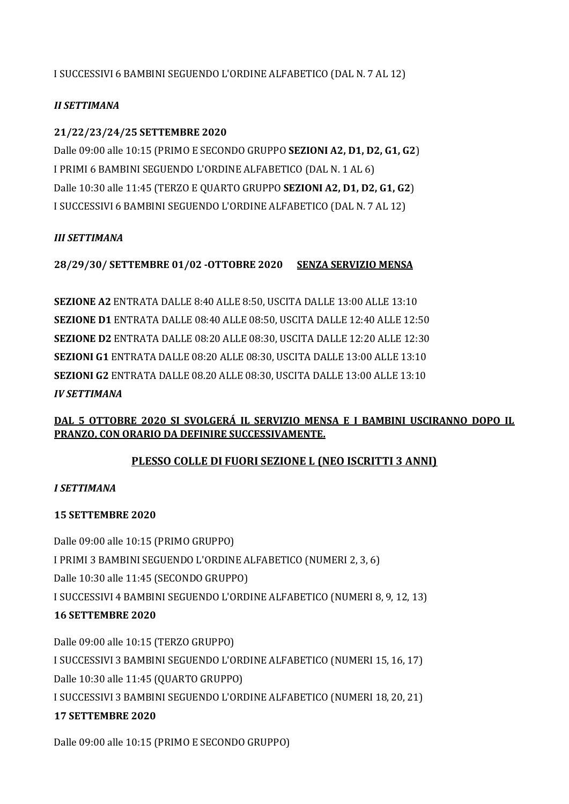I SUCCESSIVI 6 BAMBINI SEGUENDO L'ORDINE ALFABETICO (DAL N. 7 AL 12)

### *II SETTIMANA*

### **21/22/23/24/25 SETTEMBRE 2020**

Dalle 09:00 alle 10:15 (PRIMO E SECONDO GRUPPO **SEZIONI A2, D1, D2, G1, G2**) I PRIMI 6 BAMBINI SEGUENDO L'ORDINE ALFABETICO (DAL N. 1 AL 6) Dalle 10:30 alle 11:45 (TERZO E QUARTO GRUPPO **SEZIONI A2, D1, D2, G1, G2**) I SUCCESSIVI 6 BAMBINI SEGUENDO L'ORDINE ALFABETICO (DAL N. 7 AL 12)

#### *III SETTIMANA*

**28/29/30/ SETTEMBRE 01/02 -OTTOBRE 2020 SENZA SERVIZIO MENSA**

**SEZIONE A2** ENTRATA DALLE 8:40 ALLE 8:50, USCITA DALLE 13:00 ALLE 13:10 **SEZIONE D1** ENTRATA DALLE 08:40 ALLE 08:50, USCITA DALLE 12:40 ALLE 12:50 **SEZIONE D2** ENTRATA DALLE 08:20 ALLE 08:30, USCITA DALLE 12:20 ALLE 12:30 **SEZIONI G1** ENTRATA DALLE 08:20 ALLE 08:30, USCITA DALLE 13:00 ALLE 13:10 **SEZIONI G2** ENTRATA DALLE 08.20 ALLE 08:30, USCITA DALLE 13:00 ALLE 13:10 *IV SETTIMANA*

## **DAL 5 OTTOBRE 2020 SI SVOLGERÁ IL SERVIZIO MENSA E I BAMBINI USCIRANNO DOPO IL PRANZO, CON ORARIO DA DEFINIRE SUCCESSIVAMENTE.**

## **PLESSO COLLE DI FUORI SEZIONE L (NEO ISCRITTI 3 ANNI)**

#### *I SETTIMANA*

#### **15 SETTEMBRE 2020**

Dalle 09:00 alle 10:15 (PRIMO GRUPPO) I PRIMI 3 BAMBINI SEGUENDO L'ORDINE ALFABETICO (NUMERI 2, 3, 6) Dalle 10:30 alle 11:45 (SECONDO GRUPPO) I SUCCESSIVI 4 BAMBINI SEGUENDO L'ORDINE ALFABETICO (NUMERI 8, 9, 12, 13) **16 SETTEMBRE 2020** 

Dalle 09:00 alle 10:15 (TERZO GRUPPO) I SUCCESSIVI 3 BAMBINI SEGUENDO L'ORDINE ALFABETICO (NUMERI 15, 16, 17) Dalle 10:30 alle 11:45 (QUARTO GRUPPO) I SUCCESSIVI 3 BAMBINI SEGUENDO L'ORDINE ALFABETICO (NUMERI 18, 20, 21) **17 SETTEMBRE 2020**

Dalle 09:00 alle 10:15 (PRIMO E SECONDO GRUPPO)